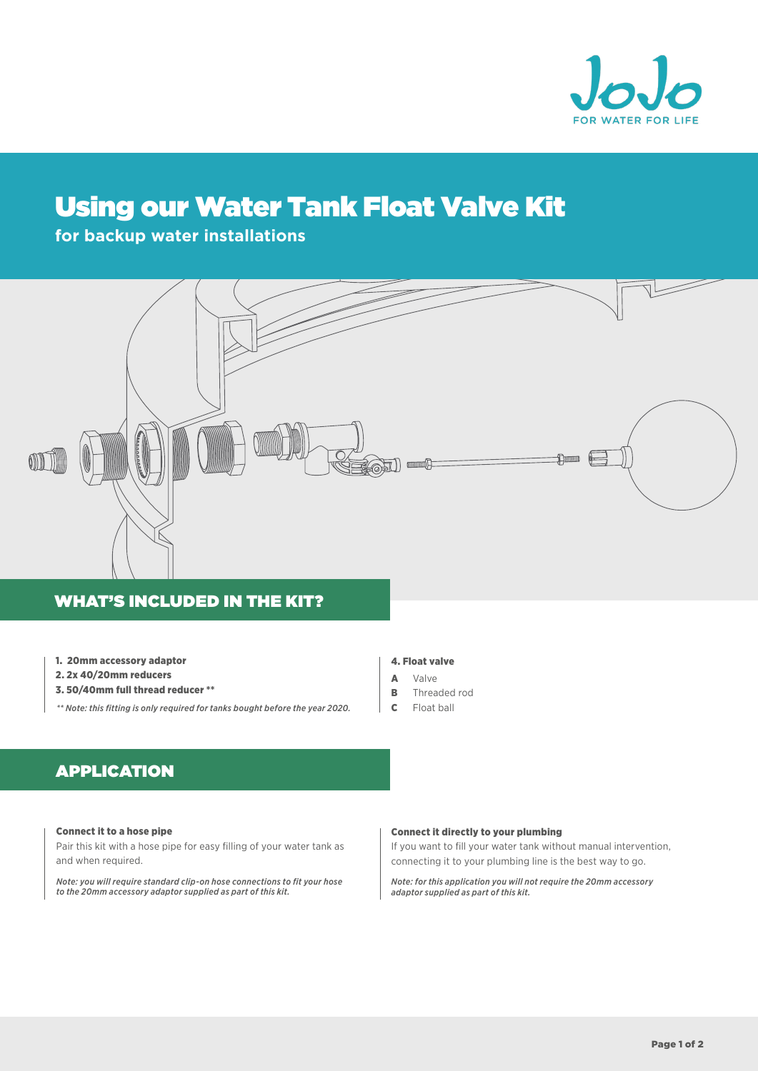

# Using our Water Tank Float Valve Kit

# **for backup water installations**



## WHAT'S INCLUDED IN THE KIT?

- 1. 20mm accessory adaptor
- 2. 2x 40/20mm reducers
- 3. 50/40mm full thread reducer \*\*

*\*\* Note: this fitting is only required for tanks bought before the year 2020.*

#### 4. Float valve

- A Valve
- B Threaded rod
- $\epsilon$ Float ball

# APPLICATION

#### Connect it to a hose pipe

Pair this kit with a hose pipe for easy filling of your water tank as and when required.

*Note: you will require standard clip-on hose connections to fit your hose to the 20mm accessory adaptor supplied as part of this kit.*

#### Connect it directly to your plumbing

If you want to fill your water tank without manual intervention, connecting it to your plumbing line is the best way to go.

*Note: for this application you will not require the 20mm accessory adaptor supplied as part of this kit.*